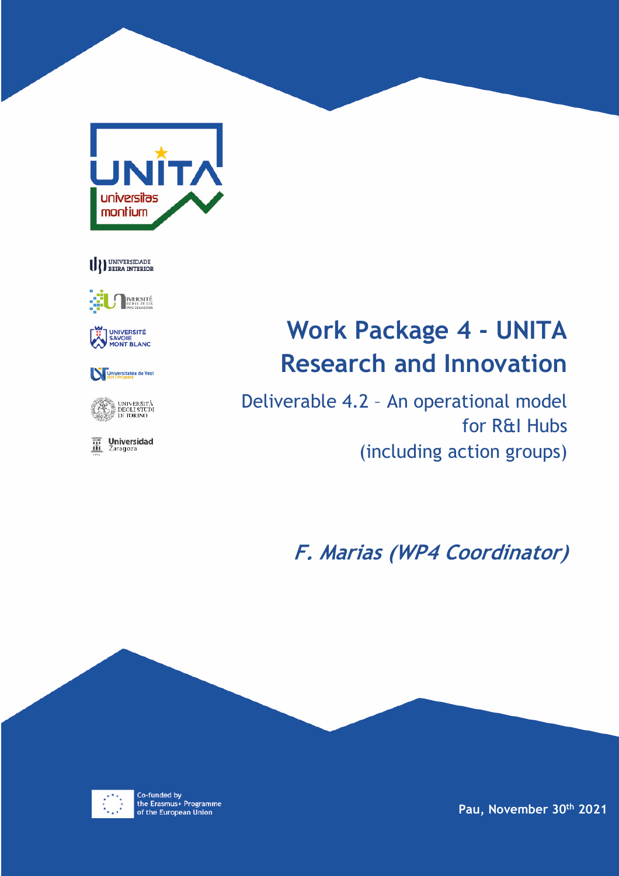







# Universitatea de Vest



**The Universidad**<br>
<u>In</u> Zaragoza

# **Work Package 4 - UNITA Research and Innovation**

Deliverable 4.2 – An operational model for R&I Hubs (including action groups)

**F. Marias (WP4 Coordinator)**



Co-funded by<br>the Erasmus+ Programme of the European Union

**Pau, November 30th 2021**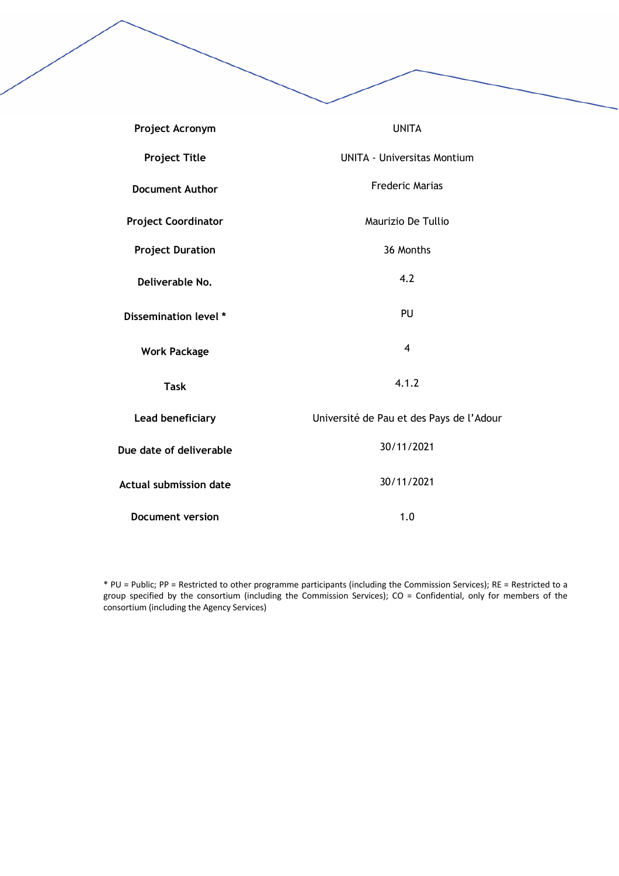| Project Acronym               | <b>UNITA</b>                             |  |
|-------------------------------|------------------------------------------|--|
| <b>Project Title</b>          | <b>UNITA - Universitas Montium</b>       |  |
| <b>Document Author</b>        | <b>Frederic Marias</b>                   |  |
| <b>Project Coordinator</b>    | Maurizio De Tullio                       |  |
| <b>Project Duration</b>       | 36 Months                                |  |
| Deliverable No.               | 4.2                                      |  |
| Dissemination level *         | PU                                       |  |
| <b>Work Package</b>           | $\overline{4}$                           |  |
| <b>Task</b>                   | 4.1.2                                    |  |
| Lead beneficiary              | Université de Pau et des Pays de l'Adour |  |
| Due date of deliverable       | 30/11/2021                               |  |
| <b>Actual submission date</b> | 30/11/2021                               |  |
| <b>Document version</b>       | 1.0                                      |  |

\* PU = Public; PP = Restricted to other programme participants (including the Commission Services); RE = Restricted to a group specified by the consortium (including the Commission Services); CO = Confidential, only for members of the consortium (including the Agency Services)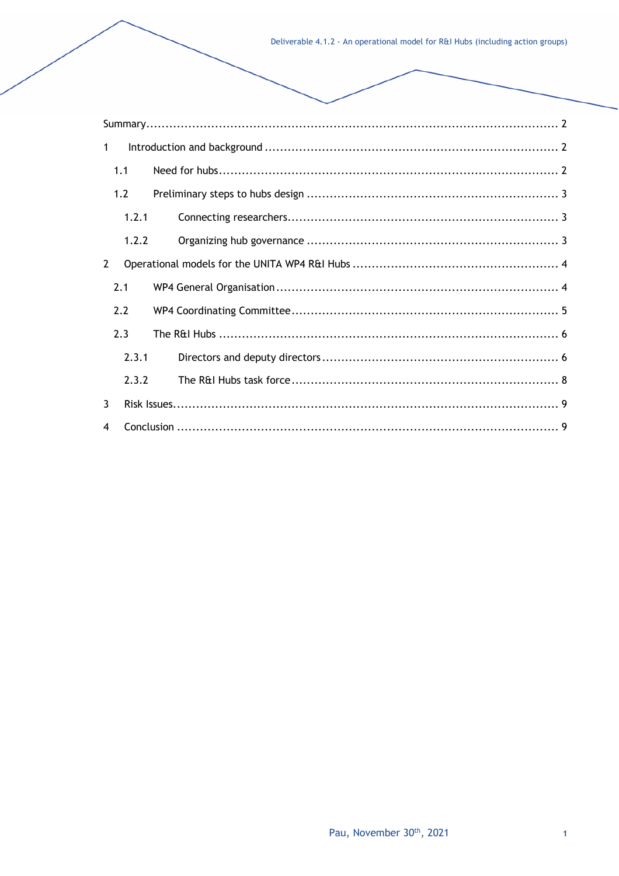| $\mathbf{1}$ |       |  |  |  |  |  |
|--------------|-------|--|--|--|--|--|
|              | 1.1   |  |  |  |  |  |
| 1.2          |       |  |  |  |  |  |
| 1.2.1        |       |  |  |  |  |  |
|              | 1.2.2 |  |  |  |  |  |
| 2            |       |  |  |  |  |  |
|              | 2.1   |  |  |  |  |  |
|              | 2.2   |  |  |  |  |  |
|              | 2.3   |  |  |  |  |  |
|              | 2.3.1 |  |  |  |  |  |
|              | 2.3.2 |  |  |  |  |  |
| 3            |       |  |  |  |  |  |
| 4            |       |  |  |  |  |  |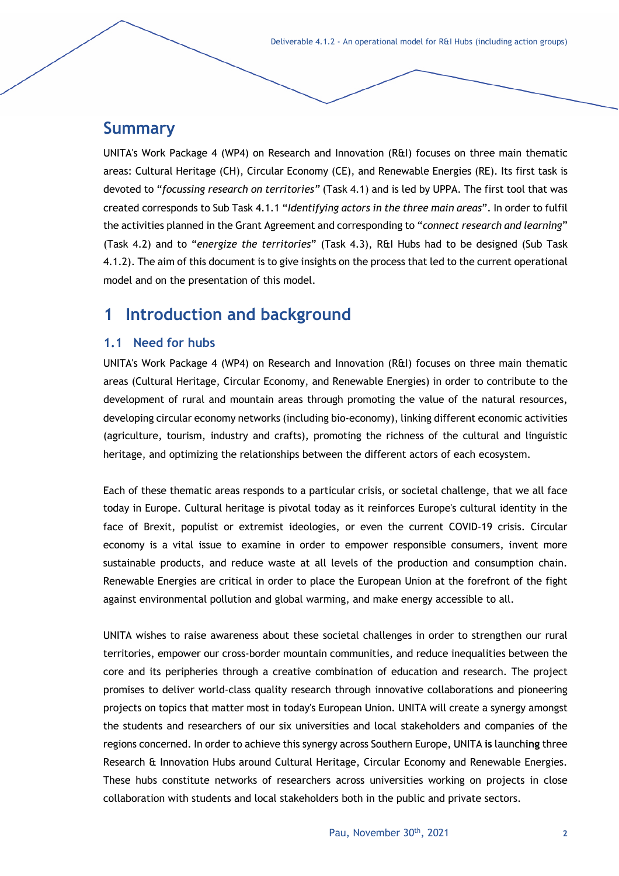# **Summary**

UNITA's Work Package 4 (WP4) on Research and Innovation (R&I) focuses on three main thematic areas: Cultural Heritage (CH), Circular Economy (CE), and Renewable Energies (RE). Its first task is devoted to "*focussing research on territories"* (Task 4.1) and is led by UPPA. The first tool that was created corresponds to Sub Task 4.1.1 "*Identifying actors in the three main areas*". In order to fulfil the activities planned in the Grant Agreement and corresponding to "*connect research and learning*" (Task 4.2) and to "*energize the territories*" (Task 4.3), R&I Hubs had to be designed (Sub Task 4.1.2). The aim of this document is to give insights on the process that led to the current operational model and on the presentation of this model.

# **1 Introduction and background**

### **1.1 Need for hubs**

UNITA's Work Package 4 (WP4) on Research and Innovation (R&I) focuses on three main thematic areas (Cultural Heritage, Circular Economy, and Renewable Energies) in order to contribute to the development of rural and mountain areas through promoting the value of the natural resources, developing circular economy networks (including bio-economy), linking different economic activities (agriculture, tourism, industry and crafts), promoting the richness of the cultural and linguistic heritage, and optimizing the relationships between the different actors of each ecosystem.

Each of these thematic areas responds to a particular crisis, or societal challenge, that we all face today in Europe. Cultural heritage is pivotal today as it reinforces Europe's cultural identity in the face of Brexit, populist or extremist ideologies, or even the current COVID-19 crisis. Circular economy is a vital issue to examine in order to empower responsible consumers, invent more sustainable products, and reduce waste at all levels of the production and consumption chain. Renewable Energies are critical in order to place the European Union at the forefront of the fight against environmental pollution and global warming, and make energy accessible to all.

UNITA wishes to raise awareness about these societal challenges in order to strengthen our rural territories, empower our cross-border mountain communities, and reduce inequalities between the core and its peripheries through a creative combination of education and research. The project promises to deliver world-class quality research through innovative collaborations and pioneering projects on topics that matter most in today's European Union. UNITA will create a synergy amongst the students and researchers of our six universities and local stakeholders and companies of the regions concerned. In order to achieve this synergy across Southern Europe, UNITA **is** launch**ing** three Research & Innovation Hubs around Cultural Heritage, Circular Economy and Renewable Energies. These hubs constitute networks of researchers across universities working on projects in close collaboration with students and local stakeholders both in the public and private sectors.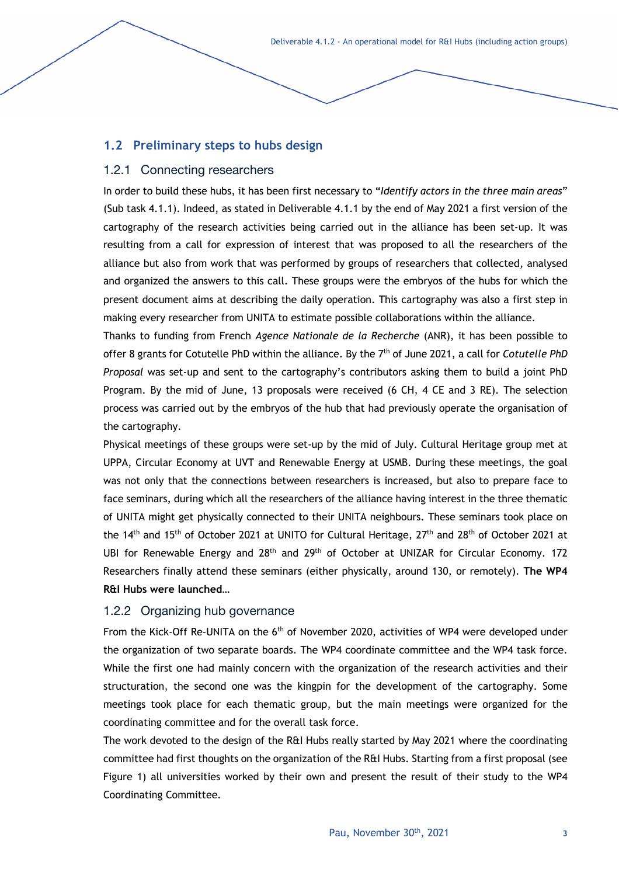Deliverable 4.1.2 - An operational model for R&I Hubs (including action groups)

### **1.2 Preliminary steps to hubs design**

#### 1.2.1 Connecting researchers

In order to build these hubs, it has been first necessary to "*Identify actors in the three main areas*" (Sub task 4.1.1). Indeed, as stated in Deliverable 4.1.1 by the end of May 2021 a first version of the cartography of the research activities being carried out in the alliance has been set-up. It was resulting from a call for expression of interest that was proposed to all the researchers of the alliance but also from work that was performed by groups of researchers that collected, analysed and organized the answers to this call. These groups were the embryos of the hubs for which the present document aims at describing the daily operation. This cartography was also a first step in making every researcher from UNITA to estimate possible collaborations within the alliance.

Thanks to funding from French *Agence Nationale de la Recherche* (ANR), it has been possible to offer 8 grants for Cotutelle PhD within the alliance. By the 7th of June 2021, a call for *Cotutelle PhD Proposal* was set-up and sent to the cartography's contributors asking them to build a joint PhD Program. By the mid of June, 13 proposals were received (6 CH, 4 CE and 3 RE). The selection process was carried out by the embryos of the hub that had previously operate the organisation of the cartography.

Physical meetings of these groups were set-up by the mid of July. Cultural Heritage group met at UPPA, Circular Economy at UVT and Renewable Energy at USMB. During these meetings, the goal was not only that the connections between researchers is increased, but also to prepare face to face seminars, during which all the researchers of the alliance having interest in the three thematic of UNITA might get physically connected to their UNITA neighbours. These seminars took place on the 14<sup>th</sup> and 15<sup>th</sup> of October 2021 at UNITO for Cultural Heritage, 27<sup>th</sup> and 28<sup>th</sup> of October 2021 at UBI for Renewable Energy and 28<sup>th</sup> and 29<sup>th</sup> of October at UNIZAR for Circular Economy. 172 Researchers finally attend these seminars (either physically, around 130, or remotely). **The WP4 R&I Hubs were launched…**

#### 1.2.2 Organizing hub governance

From the Kick-Off Re-UNITA on the 6th of November 2020, activities of WP4 were developed under the organization of two separate boards. The WP4 coordinate committee and the WP4 task force. While the first one had mainly concern with the organization of the research activities and their structuration, the second one was the kingpin for the development of the cartography. Some meetings took place for each thematic group, but the main meetings were organized for the coordinating committee and for the overall task force.

The work devoted to the design of the R&I Hubs really started by May 2021 where the coordinating committee had first thoughts on the organization of the R&I Hubs. Starting from a first proposal (see Figure 1) all universities worked by their own and present the result of their study to the WP4 Coordinating Committee.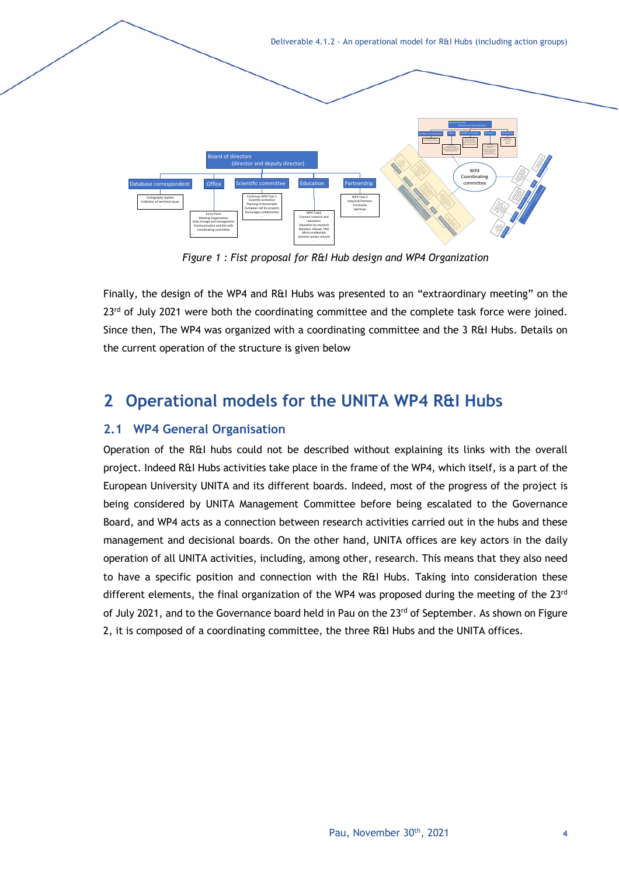Deliverable 4.1.2 - An operational model for R&I Hubs (including action groups) Board of directors (director and deputy director) Database correspondent Office Scientific committee Education Partnership Cartography Update Collection of technical issues Entry Point Meeting Organisation Data storage and management Communication and link with coordinating committee Continues WP4 Task 1 Scientific animation Planning of doctoriales European call for projects Encourages collaboration collaboration WP4-Task2 Connect research and education Education by research Bachelor, Master, PhD Micro-credentials Summer-winter schools WP4-Task 3 Industrial Partners Territories Géminae Database correspondent Office Scientific committee Education Partnership Continues WP4 Task 1 … White we will be a property of the local of Board of directors (director)<br>(director)<br>(director)  $\mathcal{B}$  $\mathcal{S}$  $\mathcal{I}_n$ Education Partnership Cartography Update l life<br>NGC 138 Entry Point Meeting Organisation Data storage and management coordinating h  $\mathcal{A}$  $\%$ Planning of doctoriales European call for projects collaboration  $\mathcal{G}$ W)<br>Co Education by research Bachelor, Master, PhD Micro-credentials 'n  $^{\prime\prime}$ Industrial Partners Board of directors (director and deputy director) Database correspondent  $\mathbb{C}$ Scientific committee  $\mathcal{C}$  $\mathscr{C}$ Cartography Update Collection of technical issues  $\mathbb{R}$ Meeting Organisation Data storage and management Communication and line with the Windows of the Windows of The Windows of The Windows of The Windows of The Win<br>Communication and communication and line with the Windows of The Windows of The Windows of The Windows of The<br>C coordinating committee Continues WP4 Task 1  $\mathbb{Z}^2$ Planning of doctoriales European call for projects Encourages collaboration  $\frac{1}{\sqrt{2}}$ Connect research and Education by research Summer winter schools -  $\mathbb{Z}^2$ WP4 Co<sup>ord</sup>ination in the concommittee

*Figure 1 : Fist proposal for R&I Hub design and WP4 Organization*

Finally, the design of the WP4 and R&I Hubs was presented to an "extraordinary meeting" on the 23<sup>rd</sup> of July 2021 were both the coordinating committee and the complete task force were joined. Since then, The WP4 was organized with a coordinating committee and the 3 R&I Hubs. Details on the current operation of the structure is given below

# **2 Operational models for the UNITA WP4 R&I Hubs**

# **2.1 WP4 General Organisation**

Operation of the R&I hubs could not be described without explaining its links with the overall project. Indeed R&I Hubs activities take place in the frame of the WP4, which itself, is a part of the European University UNITA and its different boards. Indeed, most of the progress of the project is being considered by UNITA Management Committee before being escalated to the Governance Board, and WP4 acts as a connection between research activities carried out in the hubs and these management and decisional boards. On the other hand, UNITA offices are key actors in the daily operation of all UNITA activities, including, among other, research. This means that they also need to have a specific position and connection with the R&I Hubs. Taking into consideration these different elements, the final organization of the WP4 was proposed during the meeting of the  $23<sup>rd</sup>$ of July 2021, and to the Governance board held in Pau on the 23<sup>rd</sup> of September. As shown on Figure 2, it is composed of a coordinating committee, the three R&I Hubs and the UNITA offices.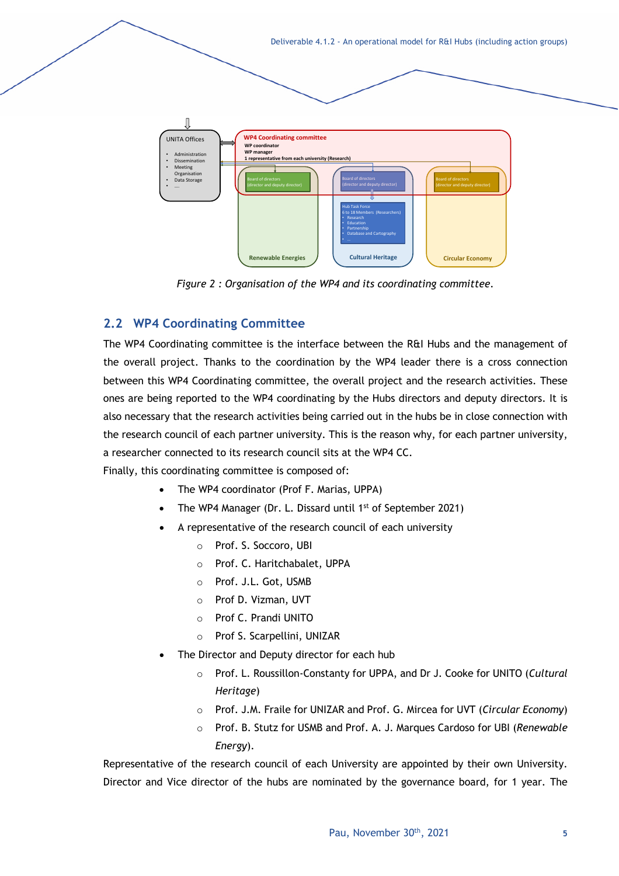Deliverable 4.1.2 - An operational model for R&I Hubs (including action groups)



*Figure 2 : Organisation of the WP4 and its coordinating committee.*

### **2.2 WP4 Coordinating Committee**

The WP4 Coordinating committee is the interface between the R&I Hubs and the management of the overall project. Thanks to the coordination by the WP4 leader there is a cross connection between this WP4 Coordinating committee, the overall project and the research activities. These ones are being reported to the WP4 coordinating by the Hubs directors and deputy directors. It is also necessary that the research activities being carried out in the hubs be in close connection with the research council of each partner university. This is the reason why, for each partner university, a researcher connected to its research council sits at the WP4 CC.

Finally, this coordinating committee is composed of:

- The WP4 coordinator (Prof F. Marias, UPPA)
- The WP4 Manager (Dr. L. Dissard until  $1<sup>st</sup>$  of September 2021)
- A representative of the research council of each university
	- o Prof. S. Soccoro, UBI
	- o Prof. C. Haritchabalet, UPPA
	- o Prof. J.L. Got, USMB
	- o Prof D. Vizman, UVT
	- o Prof C. Prandi UNITO
	- o Prof S. Scarpellini, UNIZAR
- The Director and Deputy director for each hub
	- o Prof. L. Roussillon-Constanty for UPPA, and Dr J. Cooke for UNITO (*Cultural Heritage*)
	- o Prof. J.M. Fraile for UNIZAR and Prof. G. Mircea for UVT (*Circular Economy*)
	- o Prof. B. Stutz for USMB and Prof. A. J. Marques Cardoso for UBI (*Renewable Energy*).

Representative of the research council of each University are appointed by their own University. Director and Vice director of the hubs are nominated by the governance board, for 1 year. The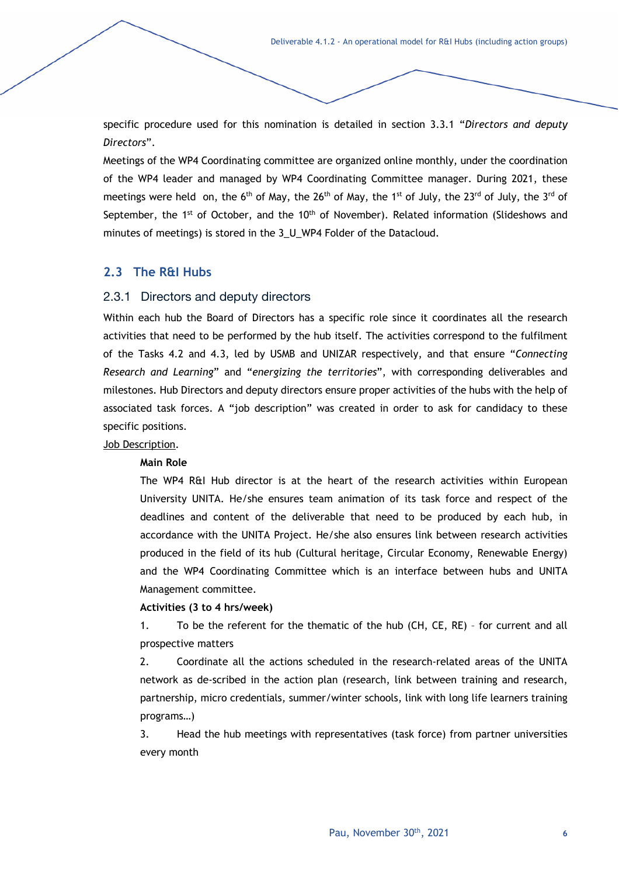specific procedure used for this nomination is detailed in section 3.3.1 "*Directors and deputy Directors*".

Meetings of the WP4 Coordinating committee are organized online monthly, under the coordination of the WP4 leader and managed by WP4 Coordinating Committee manager. During 2021, these meetings were held on, the  $6<sup>th</sup>$  of May, the 26<sup>th</sup> of May, the 1<sup>st</sup> of July, the 23<sup>rd</sup> of July, the 3<sup>rd</sup> of September, the 1<sup>st</sup> of October, and the 10<sup>th</sup> of November). Related information (Slideshows and minutes of meetings) is stored in the 3\_U\_WP4 Folder of the Datacloud.

### **2.3 The R&I Hubs**

#### 2.3.1 Directors and deputy directors

Within each hub the Board of Directors has a specific role since it coordinates all the research activities that need to be performed by the hub itself. The activities correspond to the fulfilment of the Tasks 4.2 and 4.3, led by USMB and UNIZAR respectively, and that ensure "*Connecting Research and Learning*" and "*energizing the territories*", with corresponding deliverables and milestones. Hub Directors and deputy directors ensure proper activities of the hubs with the help of associated task forces. A "job description" was created in order to ask for candidacy to these specific positions.

#### Job Description.

#### **Main Role**

The WP4 R&I Hub director is at the heart of the research activities within European University UNITA. He/she ensures team animation of its task force and respect of the deadlines and content of the deliverable that need to be produced by each hub, in accordance with the UNITA Project. He/she also ensures link between research activities produced in the field of its hub (Cultural heritage, Circular Economy, Renewable Energy) and the WP4 Coordinating Committee which is an interface between hubs and UNITA Management committee.

#### **Activities (3 to 4 hrs/week)**

1. To be the referent for the thematic of the hub (CH, CE, RE) – for current and all prospective matters

2. Coordinate all the actions scheduled in the research-related areas of the UNITA network as de-scribed in the action plan (research, link between training and research, partnership, micro credentials, summer/winter schools, link with long life learners training programs…)

3. Head the hub meetings with representatives (task force) from partner universities every month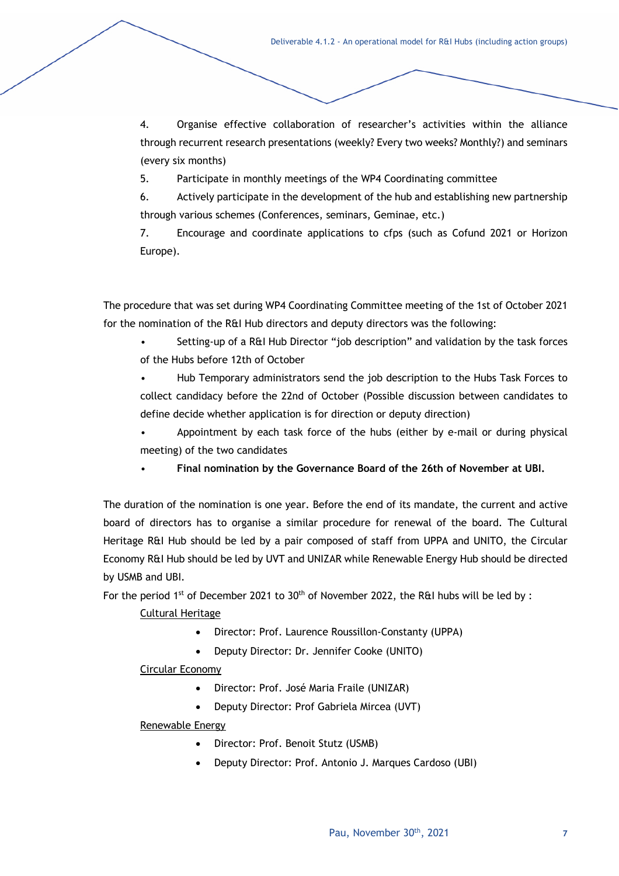4. Organise effective collaboration of researcher's activities within the alliance through recurrent research presentations (weekly? Every two weeks? Monthly?) and seminars (every six months)

5. Participate in monthly meetings of the WP4 Coordinating committee

6. Actively participate in the development of the hub and establishing new partnership through various schemes (Conferences, seminars, Geminae, etc.)

7. Encourage and coordinate applications to cfps (such as Cofund 2021 or Horizon Europe).

The procedure that was set during WP4 Coordinating Committee meeting of the 1st of October 2021 for the nomination of the R&I Hub directors and deputy directors was the following:

- Setting-up of a R&I Hub Director "job description" and validation by the task forces of the Hubs before 12th of October
- Hub Temporary administrators send the job description to the Hubs Task Forces to collect candidacy before the 22nd of October (Possible discussion between candidates to define decide whether application is for direction or deputy direction)
- Appointment by each task force of the hubs (either by e-mail or during physical meeting) of the two candidates
- **Final nomination by the Governance Board of the 26th of November at UBI.**

The duration of the nomination is one year. Before the end of its mandate, the current and active board of directors has to organise a similar procedure for renewal of the board. The Cultural Heritage R&I Hub should be led by a pair composed of staff from UPPA and UNITO, the Circular Economy R&I Hub should be led by UVT and UNIZAR while Renewable Energy Hub should be directed by USMB and UBI.

For the period 1st of December 2021 to 30<sup>th</sup> of November 2022, the R&I hubs will be led by :

#### Cultural Heritage

- Director: Prof. Laurence Roussillon-Constanty (UPPA)
- Deputy Director: Dr. Jennifer Cooke (UNITO)

#### Circular Economy

- Director: Prof. José Maria Fraile (UNIZAR)
- Deputy Director: Prof Gabriela Mircea (UVT)

#### Renewable Energy

- Director: Prof. Benoit Stutz (USMB)
- Deputy Director: Prof. Antonio J. Marques Cardoso (UBI)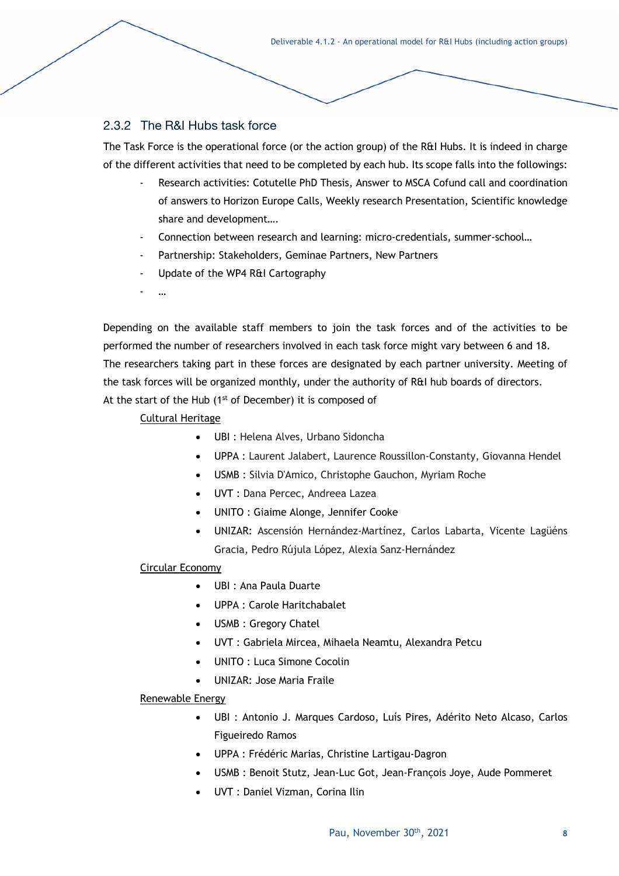Deliverable 4.1.2 - An operational model for R&I Hubs (including action groups)

### 2.3.2 The R&I Hubs task force

The Task Force is the operational force (or the action group) of the R&I Hubs. It is indeed in charge of the different activities that need to be completed by each hub. Its scope falls into the followings:

- Research activities: Cotutelle PhD Thesis, Answer to MSCA Cofund call and coordination of answers to Horizon Europe Calls, Weekly research Presentation, Scientific knowledge share and development….
- Connection between research and learning: micro-credentials, summer-school...
- Partnership: Stakeholders, Geminae Partners, New Partners
- Update of the WP4 R&I Cartography
- …

Depending on the available staff members to join the task forces and of the activities to be performed the number of researchers involved in each task force might vary between 6 and 18. The researchers taking part in these forces are designated by each partner university. Meeting of the task forces will be organized monthly, under the authority of R&I hub boards of directors. At the start of the Hub  $(1<sup>st</sup>$  of December) it is composed of

#### Cultural Heritage

- UBI : Helena Alves, Urbano Sidoncha
- UPPA : Laurent Jalabert, Laurence Roussillon-Constanty, Giovanna Hendel
- USMB : Silvia D'Amico, Christophe Gauchon, Myriam Roche
- UVT : Dana Percec, Andreea Lazea
- UNITO : Giaime Alonge, Jennifer Cooke
- UNIZAR: Ascensión Hernández-Martínez, Carlos Labarta, Vicente Lagüéns Gracia, Pedro Rújula López, Alexia Sanz-Hernández

#### Circular Economy

- UBI : Ana Paula Duarte
- UPPA : Carole Haritchabalet
- USMB : Gregory Chatel
- UVT : Gabriela Mircea, Mihaela Neamtu, Alexandra Petcu
- UNITO : Luca Simone Cocolin
- UNIZAR: Jose Maria Fraile

#### Renewable Energy

- UBI : Antonio J. Marques Cardoso, Luís Pires, Adérito Neto Alcaso, Carlos Figueiredo Ramos
- UPPA : Frédéric Marias, Christine Lartigau-Dagron
- USMB : Benoit Stutz, Jean-Luc Got, Jean-François Joye, Aude Pommeret
- UVT : Daniel Vizman, Corina Ilin